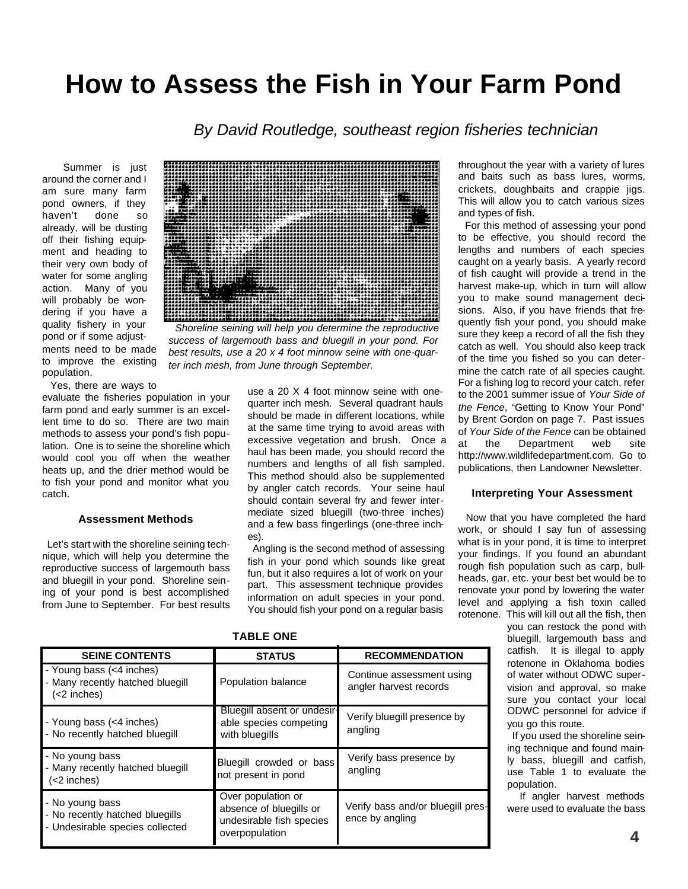# **How to Assess the Fish in Your Farm Pond**

*By David Routledge, southeast region fisheries technician*

Summer is just around the corner and I am sure many farm pond owners, if they haven't done so already, will be dusting off their fishing equipment and heading to their very own body of water for some angling action. Many of you will probably be wondering if you have a quality fishery in your pond or if some adjust-

ments need to be made to improve the existing population.

Yes, there are ways to

evaluate the fisheries population in your farm pond and early summer is an excellent time to do so. There are two main methods to assess your pond's fish population. One is to seine the shoreline which would cool you off when the weather heats up, and the drier method would be to fish your pond and monitor what you catch.

### **Assessment Methods**

Let's start with the shoreline seining technique, which will help you determine the reproductive success of largemouth bass and bluegill in your pond. Shoreline seining of your pond is best accomplished from June to September. For best results



*Shoreline seining will help you determine the reproductive success of largemouth bass and bluegill in your pond. For best results, use a 20 x 4 foot minnow seine with one-quarter inch mesh, from June through September.*

use a 20 X 4 foot minnow seine with onequarter inch mesh. Several quadrant hauls should be made in different locations, while at the same time trying to avoid areas with excessive vegetation and brush. Once a haul has been made, you should record the numbers and lengths of all fish sampled. This method should also be supplemented by angler catch records. Your seine haul should contain several fry and fewer intermediate sized bluegill (two-three inches) and a few bass fingerlings (one-three inches).

Angling is the second method of assessing fish in your pond which sounds like great fun, but it also requires a lot of work on your part. This assessment technique provides information on adult species in your pond. You should fish your pond on a regular basis throughout the year with a variety of lures and baits such as bass lures, worms, crickets, doughbaits and crappie jigs. This will allow you to catch various sizes and types of fish. For this method of assessing your pond

to be effective, you should record the lengths and numbers of each species caught on a yearly basis. A yearly record of fish caught will provide a trend in the harvest make-up, which in turn will allow you to make sound management decisions. Also, if you have friends that frequently fish your pond, you should make sure they keep a record of all the fish they catch as well. You should also keep track of the time you fished so you can determine the catch rate of all species caught. For a fishing log to record your catch, refer to the 2001 summer issue of *Your Side of the Fence*, "Getting to Know Your Pond" by Brent Gordon on page 7. Past issues of *Your Side of the Fence* can be obtained at the Department web site http://www.wildlifedepartment.com. Go to publications, then Landowner Newsletter.

### **Interpreting Your Assessment**

Now that you have completed the hard work, or should I say fun of assessing what is in your pond, it is time to interpret your findings. If you found an abundant rough fish population such as carp, bullheads, gar, etc. your best bet would be to renovate your pond by lowering the water level and applying a fish toxin called rotenone. This will kill out all the fish, then

you can restock the pond with bluegill, largemouth bass and catfish. It is illegal to apply rotenone in Oklahoma bodies of water without ODWC supervision and approval, so make sure you contact your local ODWC personnel for advice if you go this route.

If you used the shoreline seining technique and found mainly bass, bluegill and catfish, use Table 1 to evaluate the population.

If angler harvest methods were used to evaluate the bass

| <b>SEINE CONTENTS</b>                                                                 | <b>STATUS</b>                                                                               | <b>RECOMMENDATION</b>                                |
|---------------------------------------------------------------------------------------|---------------------------------------------------------------------------------------------|------------------------------------------------------|
| - Young bass (<4 inches)<br>- Many recently hatched bluegill<br>$(2 inches)$          | Population balance                                                                          | Continue assessment using<br>angler harvest records  |
| - Young bass (<4 inches)<br>- No recently hatched bluegill                            | Bluegill absent or undesir-<br>able species competing<br>with bluegills                     | Verify bluegill presence by<br>angling               |
| - No young bass<br>- Many recently hatched bluegill<br>(<2 inches)                    | Bluegill crowded or bass<br>not present in pond                                             | Verify bass presence by<br>angling                   |
| - No young bass<br>- No recently hatched bluegills<br>- Undesirable species collected | Over population or<br>absence of bluegills or<br>undesirable fish species<br>overpopulation | Verify bass and/or bluegill pres-<br>ence by angling |